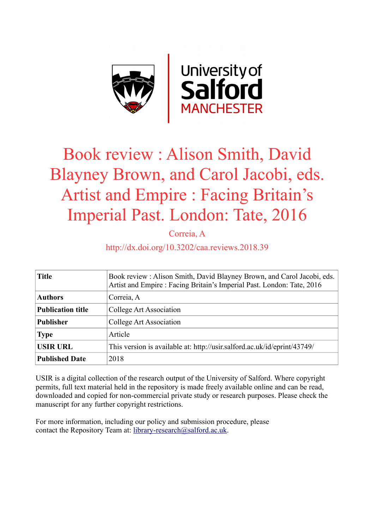

## Book review : Alison Smith, David Blayney Brown, and Carol Jacobi, eds. Artist and Empire : Facing Britain's Imperial Past. London: Tate, 2016

Correia, A

http://dx.doi.org/10.3202/caa.reviews.2018.39

| <b>Title</b>             | Book review : Alison Smith, David Blayney Brown, and Carol Jacobi, eds.<br>Artist and Empire: Facing Britain's Imperial Past. London: Tate, 2016 |
|--------------------------|--------------------------------------------------------------------------------------------------------------------------------------------------|
| <b>Authors</b>           | Correia, A                                                                                                                                       |
| <b>Publication title</b> | College Art Association                                                                                                                          |
| <b>Publisher</b>         | College Art Association                                                                                                                          |
| <b>Type</b>              | Article                                                                                                                                          |
| <b>USIR URL</b>          | This version is available at: http://usir.salford.ac.uk/id/eprint/43749/                                                                         |
| <b>Published Date</b>    | 2018                                                                                                                                             |

USIR is a digital collection of the research output of the University of Salford. Where copyright permits, full text material held in the repository is made freely available online and can be read, downloaded and copied for non-commercial private study or research purposes. Please check the manuscript for any further copyright restrictions.

For more information, including our policy and submission procedure, please contact the Repository Team at: [library-research@salford.ac.uk.](mailto:library-research@salford.ac.uk)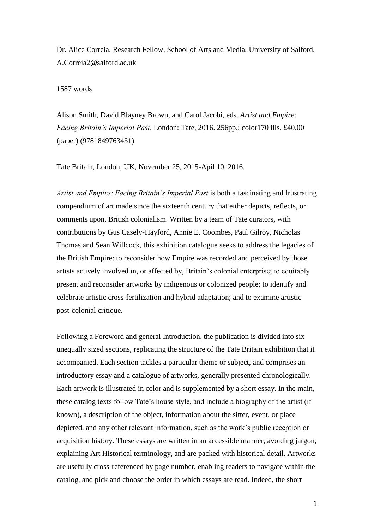Dr. Alice Correia, Research Fellow, School of Arts and Media, University of Salford, A.Correia2@salford.ac.uk

1587 words

Alison Smith, David Blayney Brown, and Carol Jacobi, eds. *Artist and Empire: Facing Britain's Imperial Past.* London: Tate, 2016. 256pp.; color170 ills. £40.00 (paper) (9781849763431)

Tate Britain, London, UK, November 25, 2015-Apil 10, 2016.

*Artist and Empire: Facing Britain's Imperial Past* is both a fascinating and frustrating compendium of art made since the sixteenth century that either depicts, reflects, or comments upon, British colonialism. Written by a team of Tate curators, with contributions by Gus Casely-Hayford, Annie E. Coombes, Paul Gilroy, Nicholas Thomas and Sean Willcock, this exhibition catalogue seeks to address the legacies of the British Empire: to reconsider how Empire was recorded and perceived by those artists actively involved in, or affected by, Britain's colonial enterprise; to equitably present and reconsider artworks by indigenous or colonized people; to identify and celebrate artistic cross-fertilization and hybrid adaptation; and to examine artistic post-colonial critique.

Following a Foreword and general Introduction, the publication is divided into six unequally sized sections, replicating the structure of the Tate Britain exhibition that it accompanied. Each section tackles a particular theme or subject, and comprises an introductory essay and a catalogue of artworks, generally presented chronologically. Each artwork is illustrated in color and is supplemented by a short essay. In the main, these catalog texts follow Tate's house style, and include a biography of the artist (if known), a description of the object, information about the sitter, event, or place depicted, and any other relevant information, such as the work's public reception or acquisition history. These essays are written in an accessible manner, avoiding jargon, explaining Art Historical terminology, and are packed with historical detail. Artworks are usefully cross-referenced by page number, enabling readers to navigate within the catalog, and pick and choose the order in which essays are read. Indeed, the short

1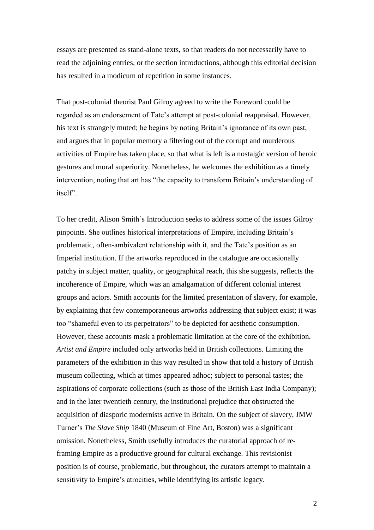essays are presented as stand-alone texts, so that readers do not necessarily have to read the adjoining entries, or the section introductions, although this editorial decision has resulted in a modicum of repetition in some instances.

That post-colonial theorist Paul Gilroy agreed to write the Foreword could be regarded as an endorsement of Tate's attempt at post-colonial reappraisal. However, his text is strangely muted; he begins by noting Britain's ignorance of its own past, and argues that in popular memory a filtering out of the corrupt and murderous activities of Empire has taken place, so that what is left is a nostalgic version of heroic gestures and moral superiority. Nonetheless, he welcomes the exhibition as a timely intervention, noting that art has "the capacity to transform Britain's understanding of itself".

To her credit, Alison Smith's Introduction seeks to address some of the issues Gilroy pinpoints. She outlines historical interpretations of Empire, including Britain's problematic, often-ambivalent relationship with it, and the Tate's position as an Imperial institution. If the artworks reproduced in the catalogue are occasionally patchy in subject matter, quality, or geographical reach, this she suggests, reflects the incoherence of Empire, which was an amalgamation of different colonial interest groups and actors. Smith accounts for the limited presentation of slavery, for example, by explaining that few contemporaneous artworks addressing that subject exist; it was too "shameful even to its perpetrators" to be depicted for aesthetic consumption. However, these accounts mask a problematic limitation at the core of the exhibition. *Artist and Empire* included only artworks held in British collections. Limiting the parameters of the exhibition in this way resulted in show that told a history of British museum collecting, which at times appeared adhoc; subject to personal tastes; the aspirations of corporate collections (such as those of the British East India Company); and in the later twentieth century, the institutional prejudice that obstructed the acquisition of diasporic modernists active in Britain. On the subject of slavery, JMW Turner's *The Slave Ship* 1840 (Museum of Fine Art, Boston) was a significant omission. Nonetheless, Smith usefully introduces the curatorial approach of reframing Empire as a productive ground for cultural exchange. This revisionist position is of course, problematic, but throughout, the curators attempt to maintain a sensitivity to Empire's atrocities, while identifying its artistic legacy.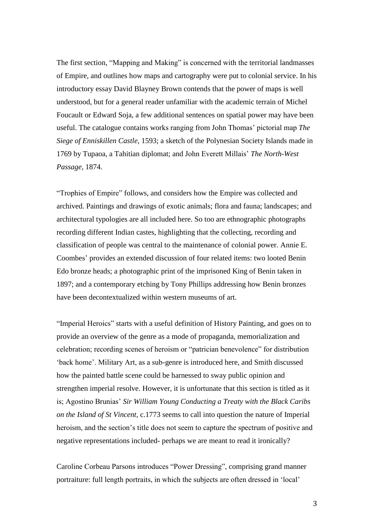The first section, "Mapping and Making" is concerned with the territorial landmasses of Empire, and outlines how maps and cartography were put to colonial service. In his introductory essay David Blayney Brown contends that the power of maps is well understood, but for a general reader unfamiliar with the academic terrain of Michel Foucault or Edward Soja, a few additional sentences on spatial power may have been useful. The catalogue contains works ranging from John Thomas' pictorial map *The Siege of Enniskillen Castle*, 1593; a sketch of the Polynesian Society Islands made in 1769 by Tupaoa, a Tahitian diplomat; and John Everett Millais' *The North-West Passage*, 1874.

"Trophies of Empire" follows, and considers how the Empire was collected and archived. Paintings and drawings of exotic animals; flora and fauna; landscapes; and architectural typologies are all included here. So too are ethnographic photographs recording different Indian castes, highlighting that the collecting, recording and classification of people was central to the maintenance of colonial power. Annie E. Coombes' provides an extended discussion of four related items: two looted Benin Edo bronze heads; a photographic print of the imprisoned King of Benin taken in 1897; and a contemporary etching by Tony Phillips addressing how Benin bronzes have been decontextualized within western museums of art.

"Imperial Heroics" starts with a useful definition of History Painting, and goes on to provide an overview of the genre as a mode of propaganda, memorialization and celebration; recording scenes of heroism or "patrician benevolence" for distribution 'back home'. Military Art, as a sub-genre is introduced here, and Smith discussed how the painted battle scene could be harnessed to sway public opinion and strengthen imperial resolve. However, it is unfortunate that this section is titled as it is; Agostino Brunias' *Sir William Young Conducting a Treaty with the Black Caribs on the Island of St Vincent,* c.1773 seems to call into question the nature of Imperial heroism, and the section's title does not seem to capture the spectrum of positive and negative representations included- perhaps we are meant to read it ironically?

Caroline Corbeau Parsons introduces "Power Dressing", comprising grand manner portraiture: full length portraits, in which the subjects are often dressed in 'local'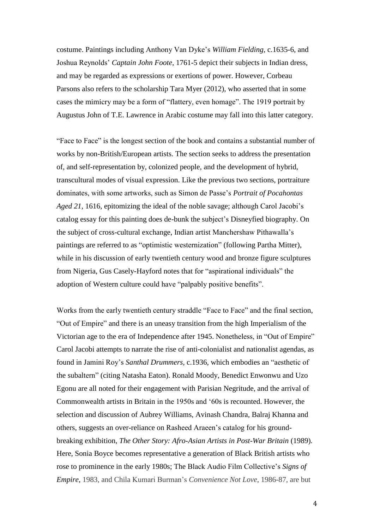costume. Paintings including Anthony Van Dyke's *William Fielding*, c.1635-6, and Joshua Reynolds' *Captain John Foote*, 1761-5 depict their subjects in Indian dress, and may be regarded as expressions or exertions of power. However, Corbeau Parsons also refers to the scholarship Tara Myer (2012), who asserted that in some cases the mimicry may be a form of "flattery, even homage". The 1919 portrait by Augustus John of T.E. Lawrence in Arabic costume may fall into this latter category.

"Face to Face" is the longest section of the book and contains a substantial number of works by non-British/European artists. The section seeks to address the presentation of, and self-representation by, colonized people, and the development of hybrid, transcultural modes of visual expression. Like the previous two sections, portraiture dominates, with some artworks, such as Simon de Passe's *Portrait of Pocahontas Aged 21*, 1616, epitomizing the ideal of the noble savage; although Carol Jacobi's catalog essay for this painting does de-bunk the subject's Disneyfied biography. On the subject of cross-cultural exchange, Indian artist Manchershaw Pithawalla's paintings are referred to as "optimistic westernization" (following Partha Mitter), while in his discussion of early twentieth century wood and bronze figure sculptures from Nigeria, Gus Casely-Hayford notes that for "aspirational individuals" the adoption of Western culture could have "palpably positive benefits".

Works from the early twentieth century straddle "Face to Face" and the final section, "Out of Empire" and there is an uneasy transition from the high Imperialism of the Victorian age to the era of Independence after 1945. Nonetheless, in "Out of Empire" Carol Jacobi attempts to narrate the rise of anti-colonialist and nationalist agendas, as found in Jamini Roy's *Santhal Drummers,* c.1936, which embodies an "aesthetic of the subaltern" (citing Natasha Eaton). Ronald Moody, Benedict Enwonwu and Uzo Egonu are all noted for their engagement with Parisian Negritude, and the arrival of Commonwealth artists in Britain in the 1950s and '60s is recounted. However, the selection and discussion of Aubrey Williams, Avinash Chandra, Balraj Khanna and others, suggests an over-reliance on Rasheed Araeen's catalog for his groundbreaking exhibition, *The Other Story: Afro-Asian Artists in Post-War Britain* (1989)*.*  Here, Sonia Boyce becomes representative a generation of Black British artists who rose to prominence in the early 1980s; The Black Audio Film Collective's *Signs of Empire,* 1983, and Chila Kumari Burman's *Convenience Not Love*, 1986-87, are but

4